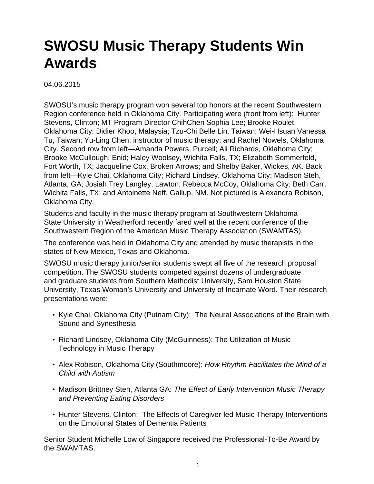## **SWOSU Music Therapy Students Win Awards**

04.06.2015

SWOSU's music therapy program won several top honors at the recent Southwestern Region conference held in Oklahoma City. Participating were (front from left): Hunter Stevens, Clinton; MT Program Director ChihChen Sophia Lee; Brooke Roulet, Oklahoma City; Didier Khoo, Malaysia; Tzu-Chi Belle Lin, Taiwan; Wei-Hsuan Vanessa Tu, Taiwan; Yu-Ling Chen, instructor of music therapy; and Rachel Nowels, Oklahoma City. Second row from left—Amanda Powers, Purcell; Ali Richards, Oklahoma City; Brooke McCullough, Enid; Haley Woolsey, Wichita Falls, TX; Elizabeth Sommerfeld, Fort Worth, TX; Jacqueline Cox, Broken Arrows; and Shelby Baker, Wickes, AK. Back from left—Kyle Chai, Oklahoma City; Richard Lindsey, Oklahoma City; Madison Steh, Atlanta, GA; Josiah Trey Langley, Lawton; Rebecca McCoy, Oklahoma City; Beth Carr, Wichita Falls, TX; and Antoinette Neff, Gallup, NM. Not pictured is Alexandra Robison, Oklahoma City.

Students and faculty in the music therapy program at Southwestern Oklahoma State University in Weatherford recently fared well at the recent conference of the Southwestern Region of the American Music Therapy Association (SWAMTAS).

The conference was held in Oklahoma City and attended by music therapists in the states of New Mexico, Texas and Oklahoma.

SWOSU music therapy junior/senior students swept all five of the research proposal competition. The SWOSU students competed against dozens of undergraduate and graduate students from Southern Methodist University, Sam Houston State University, Texas Woman's University and University of Incarnate Word. Their research presentations were:

- Kyle Chai, Oklahoma City (Putnam City): The Neural Associations of the Brain with Sound and Synesthesia
- Richard Lindsey, Oklahoma City (McGuinness): The Utilization of Music Technology in Music Therapy
- Alex Robison, Oklahoma City (Southmoore): How Rhythm Facilitates the Mind of a Child with Autism
- Madison Brittney Steh, Atlanta GA: The Effect of Early Intervention Music Therapy and Preventing Eating Disorders
- Hunter Stevens, Clinton: The Effects of Caregiver-led Music Therapy Interventions on the Emotional States of Dementia Patients

Senior Student Michelle Low of Singapore received the Professional-To-Be Award by the SWAMTAS.